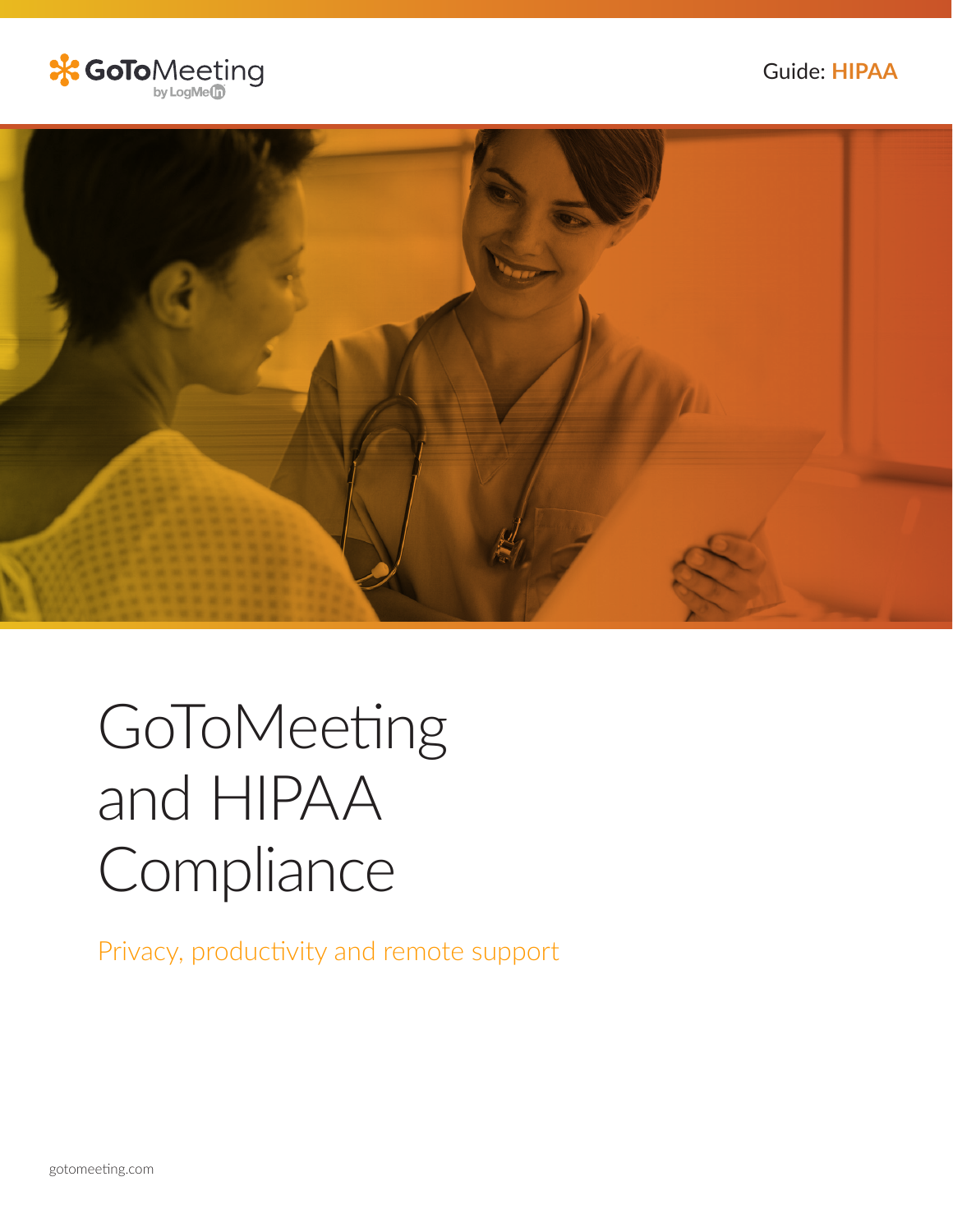Guide: **HIPAA**





# GoToMeeting and HIPAA Compliance

Privacy, productivity and remote support

gotomeeting.com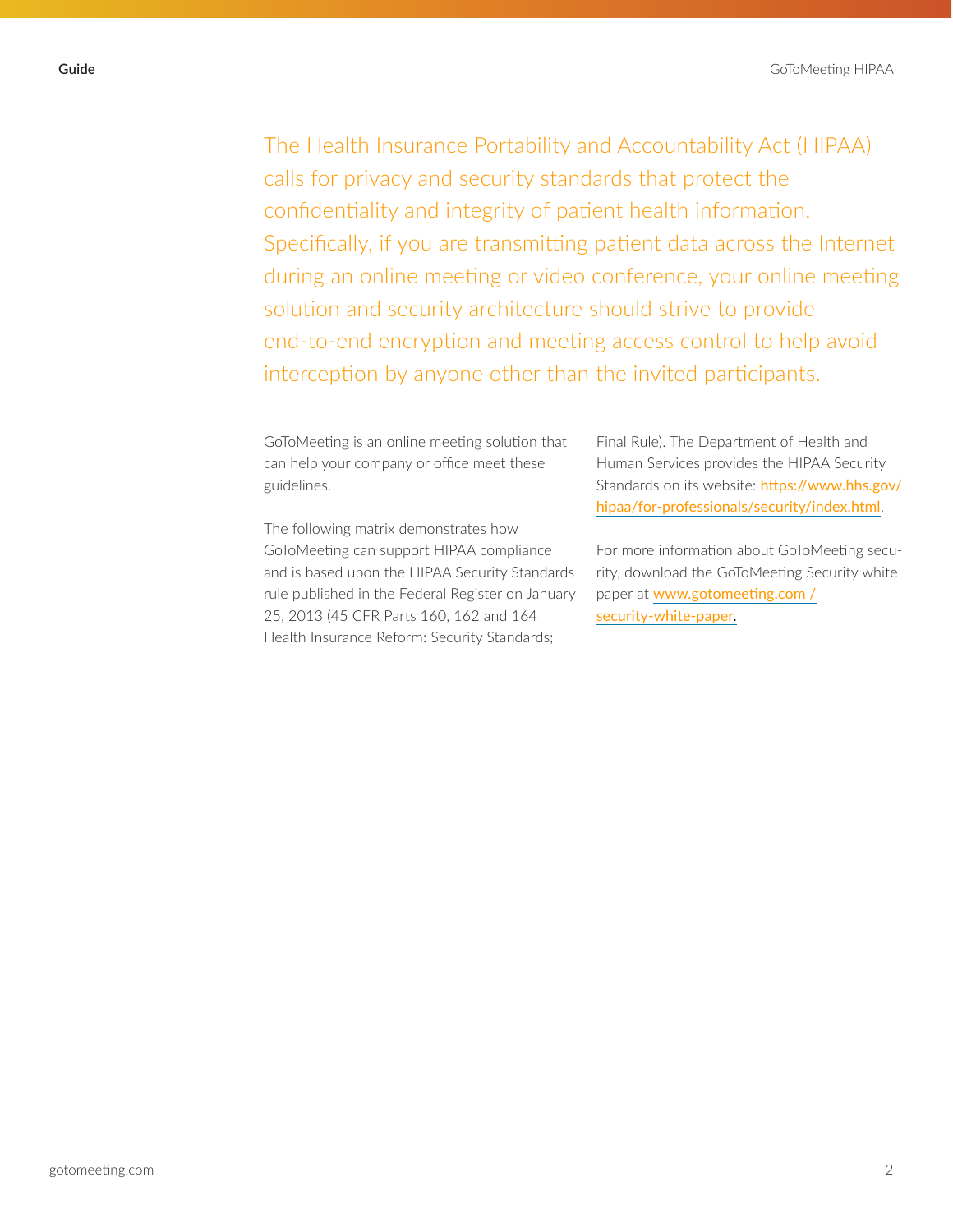The Health Insurance Portability and Accountability Act (HIPAA) calls for privacy and security standards that protect the confidentiality and integrity of patient health information. Specifically, if you are transmitting patient data across the Internet during an online meeting or video conference, your online meeting solution and security architecture should strive to provide end-to-end encryption and meeting access control to help avoid interception by anyone other than the invited participants.

GoToMeeting is an online meeting solution that can help your company or office meet these guidelines.

The following matrix demonstrates how GoToMeeting can support HIPAA compliance and is based upon the HIPAA Security Standards rule published in the Federal Register on January 25, 2013 (45 CFR Parts 160, 162 and 164 Health Insurance Reform: Security Standards;

Final Rule). The Department of Health and Human Services provides the HIPAA Security Standards on its website: [https://www.hhs.gov/](https://www.hhs.gov/hipaa/for-professionals/security/index.html) [hipaa/for-professionals/security/index.html](https://www.hhs.gov/hipaa/for-professionals/security/index.html).

For more information about GoToMeeting security, download the GoToMeeting Security white paper at [www.gotomeeting.com /](https://assets.cdngetgo.com/6a/8b/944afbe7427e90526c72c0bcd24a/gotomeeting-security-white-paper-286395.pdf) [security-white-paper](https://assets.cdngetgo.com/6a/8b/944afbe7427e90526c72c0bcd24a/gotomeeting-security-white-paper-286395.pdf).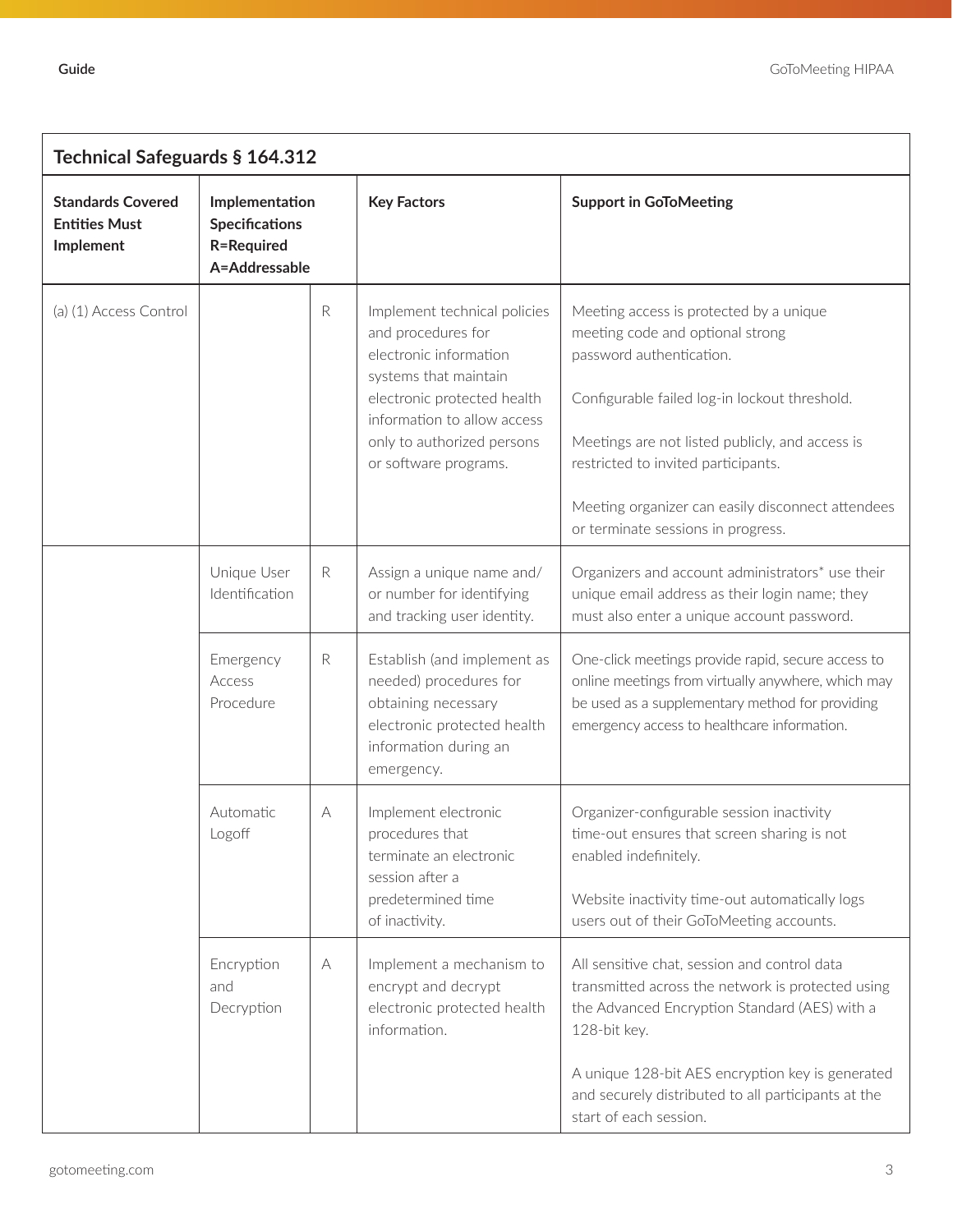| Technical Safeguards § 164.312                                |                                                                               |                                                                                                                                                                                                                                            |                                                                                                                                                    |                                                                                                                                                                                                                                                                                                                                                                                |  |  |  |
|---------------------------------------------------------------|-------------------------------------------------------------------------------|--------------------------------------------------------------------------------------------------------------------------------------------------------------------------------------------------------------------------------------------|----------------------------------------------------------------------------------------------------------------------------------------------------|--------------------------------------------------------------------------------------------------------------------------------------------------------------------------------------------------------------------------------------------------------------------------------------------------------------------------------------------------------------------------------|--|--|--|
| <b>Standards Covered</b><br><b>Entities Must</b><br>Implement | Implementation<br><b>Specifications</b><br><b>R=Required</b><br>A=Addressable |                                                                                                                                                                                                                                            | <b>Key Factors</b>                                                                                                                                 | <b>Support in GoToMeeting</b><br>Meeting access is protected by a unique<br>meeting code and optional strong<br>password authentication.<br>Configurable failed log-in lockout threshold.<br>Meetings are not listed publicly, and access is<br>restricted to invited participants.<br>Meeting organizer can easily disconnect attendees<br>or terminate sessions in progress. |  |  |  |
| (a) (1) Access Control                                        |                                                                               | $\mathsf{R}$<br>Implement technical policies<br>and procedures for<br>electronic information<br>systems that maintain<br>electronic protected health<br>information to allow access<br>only to authorized persons<br>or software programs. |                                                                                                                                                    |                                                                                                                                                                                                                                                                                                                                                                                |  |  |  |
|                                                               | Unique User<br>Identification                                                 | $\mathsf{R}$                                                                                                                                                                                                                               | Assign a unique name and/<br>or number for identifying<br>and tracking user identity.                                                              | Organizers and account administrators* use their<br>unique email address as their login name; they<br>must also enter a unique account password.                                                                                                                                                                                                                               |  |  |  |
|                                                               | Emergency<br>Access<br>Procedure                                              | $\mathsf{R}$                                                                                                                                                                                                                               | Establish (and implement as<br>needed) procedures for<br>obtaining necessary<br>electronic protected health<br>information during an<br>emergency. | One-click meetings provide rapid, secure access to<br>online meetings from virtually anywhere, which may<br>be used as a supplementary method for providing<br>emergency access to healthcare information.                                                                                                                                                                     |  |  |  |
|                                                               | Automatic<br>Logoff                                                           | A                                                                                                                                                                                                                                          | Implement electronic<br>procedures that<br>terminate an electronic<br>session after a<br>predetermined time<br>of inactivity.                      | Organizer-configurable session inactivity<br>time-out ensures that screen sharing is not<br>enabled indefinitely.<br>Website inactivity time-out automatically logs<br>users out of their GoToMeeting accounts.                                                                                                                                                                |  |  |  |
|                                                               | Encryption<br>and<br>Decryption                                               | A                                                                                                                                                                                                                                          | Implement a mechanism to<br>encrypt and decrypt<br>electronic protected health<br>information.                                                     | All sensitive chat, session and control data<br>transmitted across the network is protected using<br>the Advanced Encryption Standard (AES) with a<br>128-bit key.                                                                                                                                                                                                             |  |  |  |
|                                                               |                                                                               |                                                                                                                                                                                                                                            |                                                                                                                                                    | A unique 128-bit AES encryption key is generated<br>and securely distributed to all participants at the<br>start of each session.                                                                                                                                                                                                                                              |  |  |  |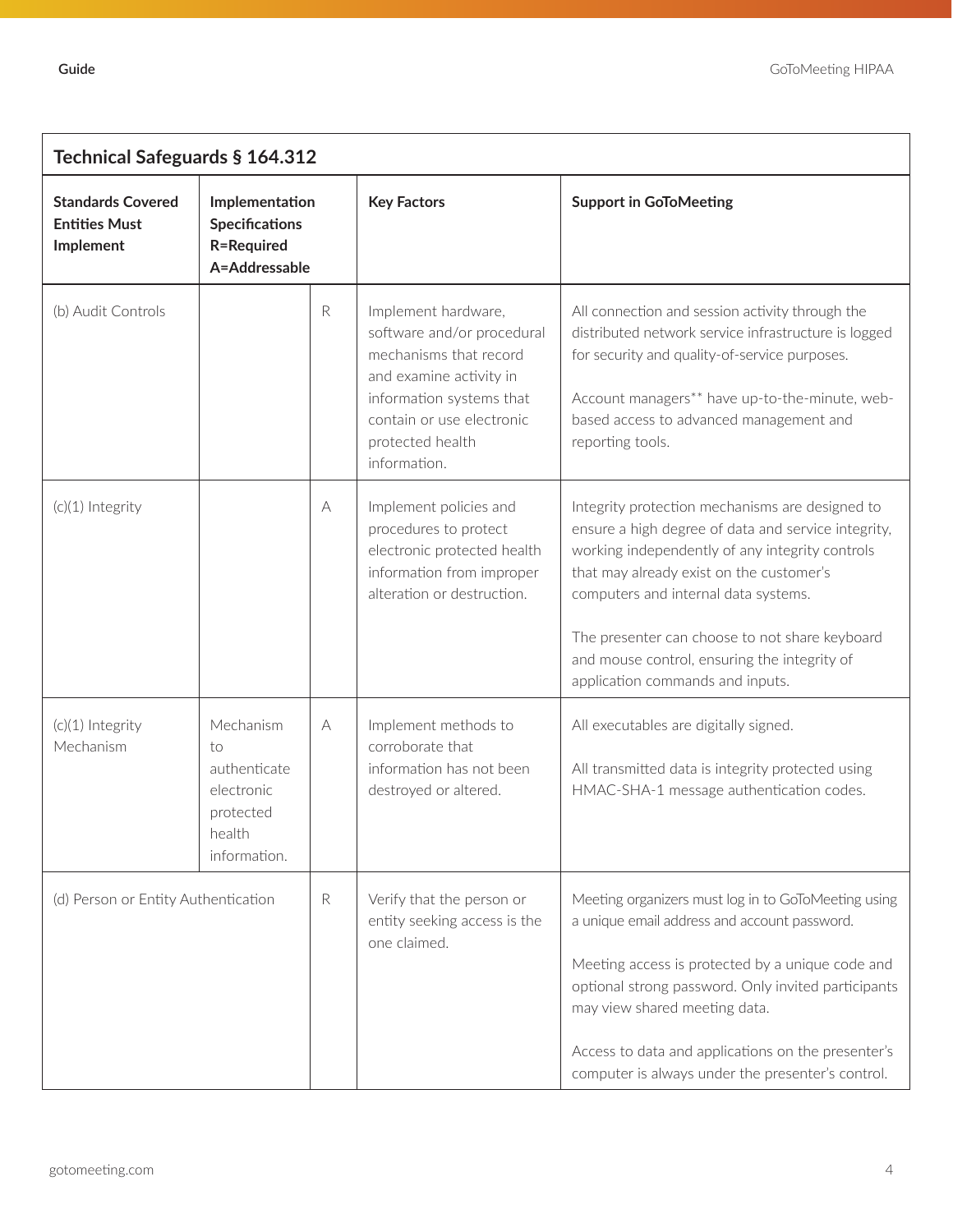| Technical Safeguards § 164.312                                |                                                                                      |             |                                                                                                                                                                                                     |                                                                                                                                                                                                                                                                                                                                                                                     |  |  |  |
|---------------------------------------------------------------|--------------------------------------------------------------------------------------|-------------|-----------------------------------------------------------------------------------------------------------------------------------------------------------------------------------------------------|-------------------------------------------------------------------------------------------------------------------------------------------------------------------------------------------------------------------------------------------------------------------------------------------------------------------------------------------------------------------------------------|--|--|--|
| <b>Standards Covered</b><br><b>Entities Must</b><br>Implement | Implementation<br><b>Specifications</b><br><b>R=Required</b><br>A=Addressable        |             | <b>Key Factors</b>                                                                                                                                                                                  | <b>Support in GoToMeeting</b>                                                                                                                                                                                                                                                                                                                                                       |  |  |  |
| (b) Audit Controls                                            |                                                                                      | $\mathsf R$ | Implement hardware,<br>software and/or procedural<br>mechanisms that record<br>and examine activity in<br>information systems that<br>contain or use electronic<br>protected health<br>information. | All connection and session activity through the<br>distributed network service infrastructure is logged<br>for security and quality-of-service purposes.<br>Account managers** have up-to-the-minute, web-<br>based access to advanced management and<br>reporting tools.                                                                                                           |  |  |  |
| (c)(1) Integrity                                              |                                                                                      | А           | Implement policies and<br>procedures to protect<br>electronic protected health<br>information from improper<br>alteration or destruction.                                                           | Integrity protection mechanisms are designed to<br>ensure a high degree of data and service integrity,<br>working independently of any integrity controls<br>that may already exist on the customer's<br>computers and internal data systems.<br>The presenter can choose to not share keyboard<br>and mouse control, ensuring the integrity of<br>application commands and inputs. |  |  |  |
| (c)(1) Integrity<br>Mechanism                                 | Mechanism<br>to<br>authenticate<br>electronic<br>protected<br>health<br>information. | A           | Implement methods to<br>corroborate that<br>information has not been<br>destroyed or altered.                                                                                                       | All executables are digitally signed.<br>All transmitted data is integrity protected using<br>HMAC-SHA-1 message authentication codes.                                                                                                                                                                                                                                              |  |  |  |
| (d) Person or Entity Authentication                           |                                                                                      | ${\sf R}$   | Verify that the person or<br>entity seeking access is the<br>one claimed.                                                                                                                           | Meeting organizers must log in to GoToMeeting using<br>a unique email address and account password.<br>Meeting access is protected by a unique code and<br>optional strong password. Only invited participants<br>may view shared meeting data.<br>Access to data and applications on the presenter's<br>computer is always under the presenter's control.                          |  |  |  |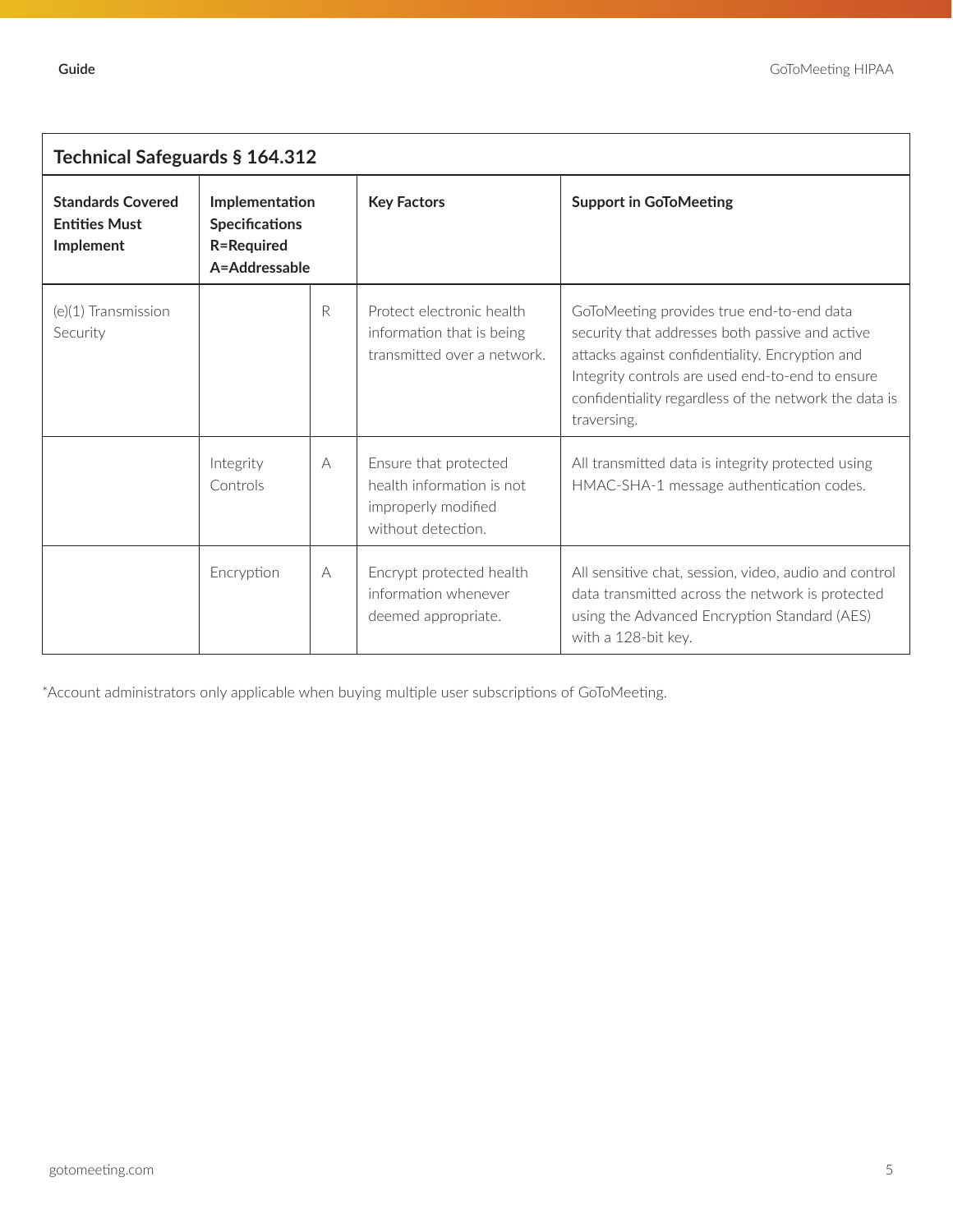| Technical Safeguards § 164.312                                |                                                                               |   |                                                                                                 |                                                                                                                                                                                                                                                                             |  |  |  |  |
|---------------------------------------------------------------|-------------------------------------------------------------------------------|---|-------------------------------------------------------------------------------------------------|-----------------------------------------------------------------------------------------------------------------------------------------------------------------------------------------------------------------------------------------------------------------------------|--|--|--|--|
| <b>Standards Covered</b><br><b>Entities Must</b><br>Implement | Implementation<br><b>Specifications</b><br><b>R=Required</b><br>A=Addressable |   | <b>Key Factors</b>                                                                              | <b>Support in GoToMeeting</b>                                                                                                                                                                                                                                               |  |  |  |  |
| (e)(1) Transmission<br>Security                               |                                                                               | R | Protect electronic health<br>information that is being<br>transmitted over a network.           | GoToMeeting provides true end-to-end data<br>security that addresses both passive and active<br>attacks against confidentiality. Encryption and<br>Integrity controls are used end-to-end to ensure<br>confidentiality regardless of the network the data is<br>traversing. |  |  |  |  |
|                                                               | Integrity<br>Controls                                                         | A | Ensure that protected<br>health information is not<br>improperly modified<br>without detection. | All transmitted data is integrity protected using<br>HMAC-SHA-1 message authentication codes.                                                                                                                                                                               |  |  |  |  |
|                                                               | Encryption                                                                    | A | Encrypt protected health<br>information whenever<br>deemed appropriate.                         | All sensitive chat, session, video, audio and control<br>data transmitted across the network is protected<br>using the Advanced Encryption Standard (AES)<br>with a 128-bit key.                                                                                            |  |  |  |  |

\*Account administrators only applicable when buying multiple user subscriptions of GoToMeeting.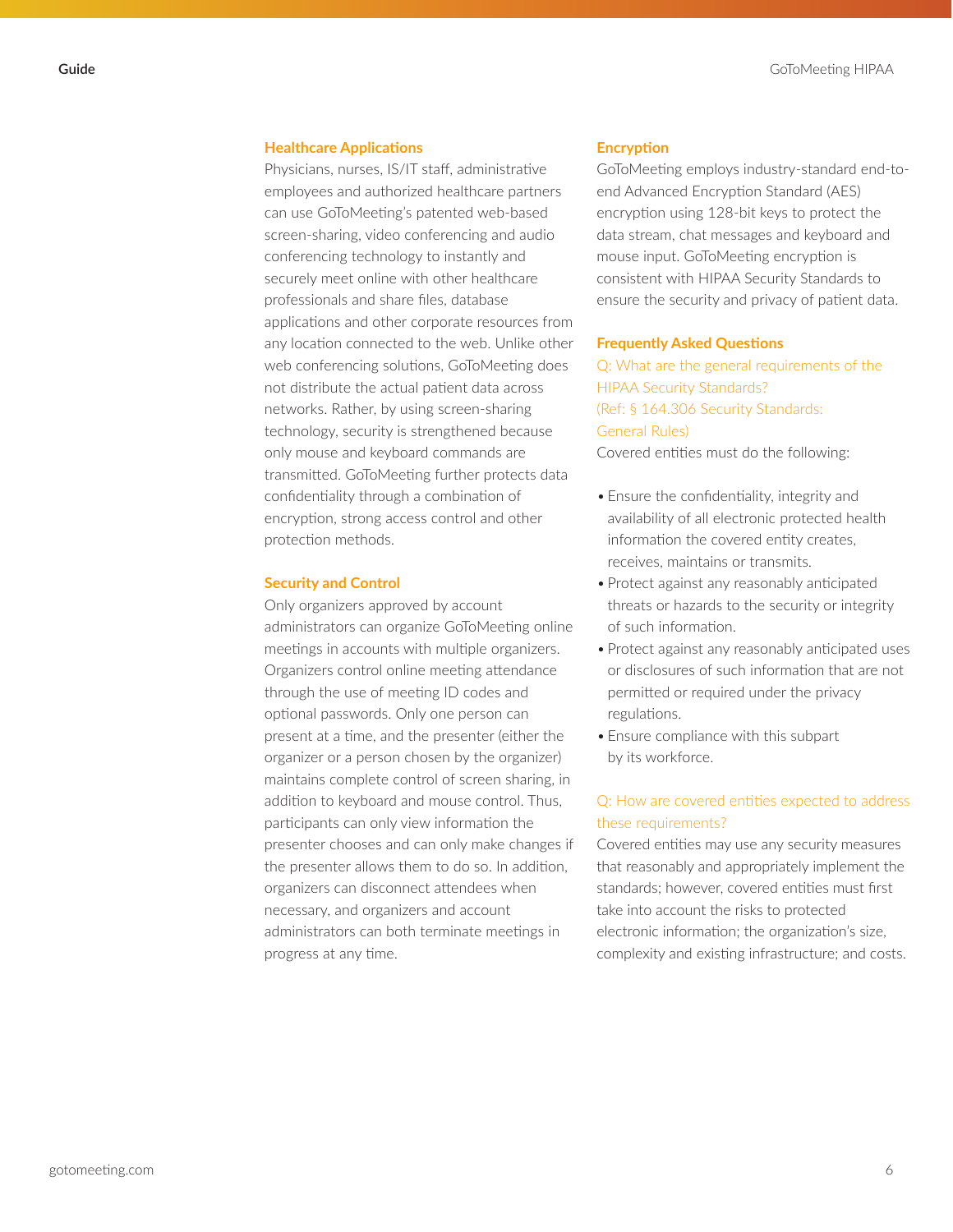## **Healthcare Applications**

Physicians, nurses, IS/IT staff, administrative employees and authorized healthcare partners can use GoToMeeting's patented web-based screen-sharing, video conferencing and audio conferencing technology to instantly and securely meet online with other healthcare professionals and share files, database applications and other corporate resources from any location connected to the web. Unlike other web conferencing solutions, GoToMeeting does not distribute the actual patient data across networks. Rather, by using screen-sharing technology, security is strengthened because only mouse and keyboard commands are transmitted. GoToMeeting further protects data confidentiality through a combination of encryption, strong access control and other protection methods.

# **Security and Control**

Only organizers approved by account administrators can organize GoToMeeting online meetings in accounts with multiple organizers. Organizers control online meeting attendance through the use of meeting ID codes and optional passwords. Only one person can present at a time, and the presenter (either the organizer or a person chosen by the organizer) maintains complete control of screen sharing, in addition to keyboard and mouse control. Thus, participants can only view information the presenter chooses and can only make changes if the presenter allows them to do so. In addition, organizers can disconnect attendees when necessary, and organizers and account administrators can both terminate meetings in progress at any time.

## **Encryption**

GoToMeeting employs industry-standard end-toend Advanced Encryption Standard (AES) encryption using 128-bit keys to protect the data stream, chat messages and keyboard and mouse input. GoToMeeting encryption is consistent with HIPAA Security Standards to ensure the security and privacy of patient data.

#### **Frequently Asked Questions**

Q: What are the general requirements of the HIPAA Security Standards? (Ref: § 164.306 Security Standards: General Rules)

Covered entities must do the following:

- Ensure the confidentiality, integrity and availability of all electronic protected health information the covered entity creates, receives, maintains or transmits.
- Protect against any reasonably anticipated threats or hazards to the security or integrity of such information.
- Protect against any reasonably anticipated uses or disclosures of such information that are not permitted or required under the privacy regulations.
- Ensure compliance with this subpart by its workforce.

# Q: How are covered entities expected to address these requirements?

Covered entities may use any security measures that reasonably and appropriately implement the standards; however, covered entities must first take into account the risks to protected electronic information; the organization's size, complexity and existing infrastructure; and costs.